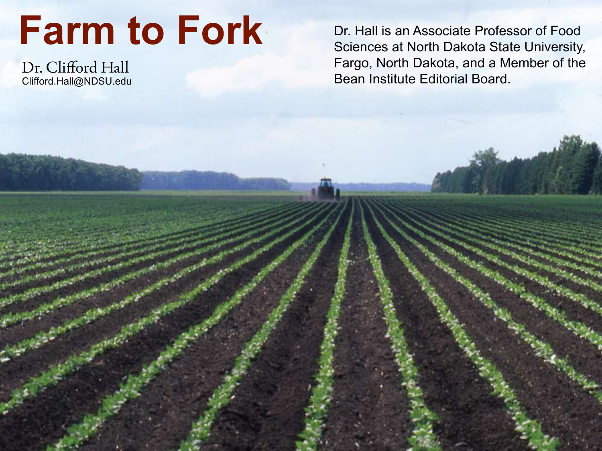# **Farm to Fork**

Dr. Clifford Hall Clifford.Hall@NDSU.edu Dr. Hall is an Associate Professor of Food Sciences at North Dakota State University, Fargo, North Dakota, and a Member of the Bean Institute Editorial Board.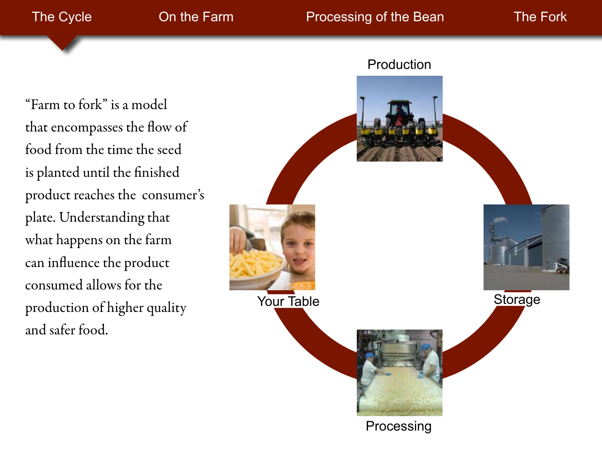"Farm to fork" is a model that encompasses the flow of food from the time the seed is planted until the finished product reaches the consumer's plate. Understanding that what happens on the farm can influence the product consumed allows for the production of higher quality and safer food.

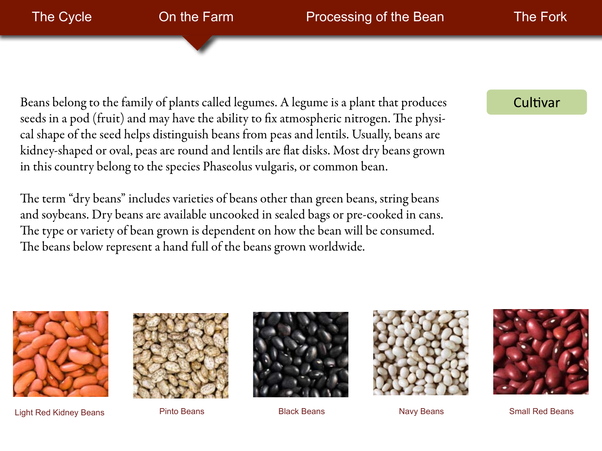Beans belong to the family of plants called legumes. A legume is a plant that produces seeds in a pod (fruit) and may have the ability to fix atmospheric nitrogen. The physical shape of the seed helps distinguish beans from peas and lentils. Usually, beans are kidney-shaped or oval, peas are round and lentils are flat disks. Most dry beans grown in this country belong to the species Phaseolus vulgaris, or common bean.

The term "dry beans" includes varieties of beans other than green beans, string beans and soybeans. Dry beans are available uncooked in sealed bags or pre-cooked in cans. The type or variety of bean grown is dependent on how the bean will be consumed. The beans below represent a hand full of the beans grown worldwide.

#### Cultivar



Light Red Kidney Beans **Pinto Beans** Pinto Beans Black Beans Navy Beans Small Red Beans







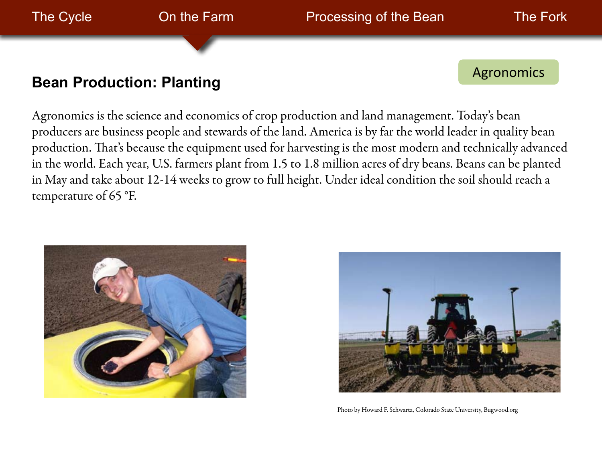

Agronomics is the science and economics of crop production and land management. Today's bean producers are business people and stewards of the land. America is by far the world leader in quality bean production. That's because the equipment used for harvesting is the most modern and technically advanced in the world. Each year, U.S. farmers plant from 1.5 to 1.8 million acres of dry beans. Beans can be planted in May and take about 12-14 weeks to grow to full height. Under ideal condition the soil should reach a temperature of 65 °F.





Photo by Howard F. Schwartz, Colorado State University, Bugwood.org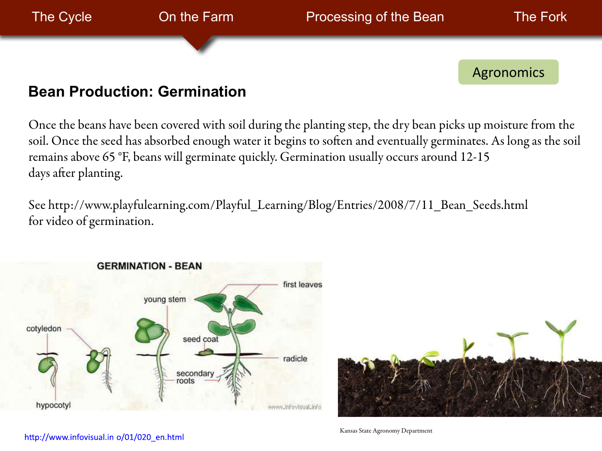

Once the beans have been covered with soil during the planting step, the dry bean picks up moisture from the soil. Once the seed has absorbed enough water it begins to soften and eventually germinates. As long as the soil remains above 65 °F, beans will germinate quickly. Germination usually occurs around 12-15 days after planting.

See http://www.playfulearning.com/Playful\_Learning/Blog/Entries/2008/7/11\_Bean\_Seeds.html for video of germination.

![](_page_4_Figure_3.jpeg)

![](_page_4_Picture_4.jpeg)

http://www.infovisual.in o/01/020 en.html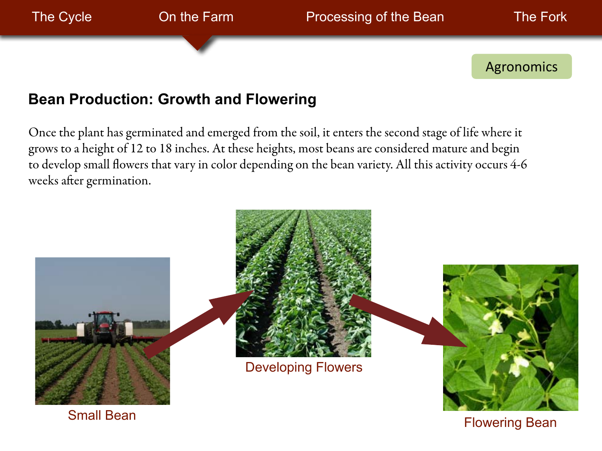Agronomics

# **Bean Production: Growth and Flowering**

Once the plant has germinated and emerged from the soil, it enters the second stage of life where it grows to a height of 12 to 18 inches. At these heights, most beans are considered mature and begin to develop small flowers that vary in color depending on the bean variety. All this activity occurs 4-6 weeks after germination.

![](_page_5_Picture_7.jpeg)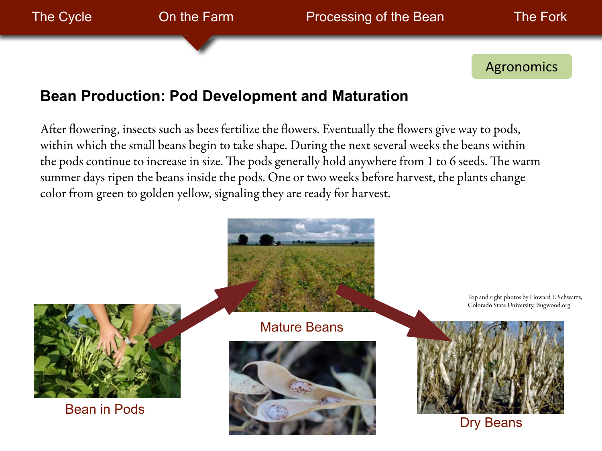Agronomics

# **Bean Production: Pod Development and Maturation**

After flowering, insects such as bees fertilize the flowers. Eventually the flowers give way to pods, within which the small beans begin to take shape. During the next several weeks the beans within the pods continue to increase in size. The pods generally hold anywhere from 1 to 6 seeds. The warm summer days ripen the beans inside the pods. One or two weeks before harvest, the plants change color from green to golden yellow, signaling they are ready for harvest.

![](_page_6_Picture_7.jpeg)

Bean in Pods

Mature Beans

![](_page_6_Picture_10.jpeg)

Top and right photos by Howard F. Schwartz, Colorado State University, Bugwood.org

![](_page_6_Picture_12.jpeg)

Dry Beans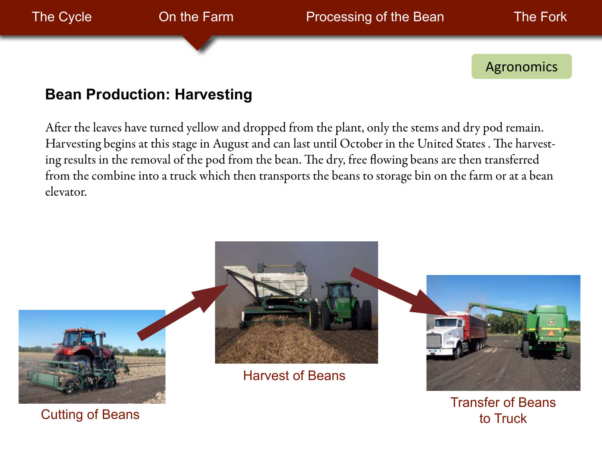![](_page_7_Picture_0.jpeg)

## **Bean Production: Harvesting**

After the leaves have turned yellow and dropped from the plant, only the stems and dry pod remain. Harvesting begins at this stage in August and can last until October in the United States . The harvesting results in the removal of the pod from the bean. The dry, free flowing beans are then transferred from the combine into a truck which then transports the beans to storage bin on the farm or at a bean elevator.

![](_page_7_Picture_3.jpeg)

Transfer of Beans to Truck

Cutting of Beans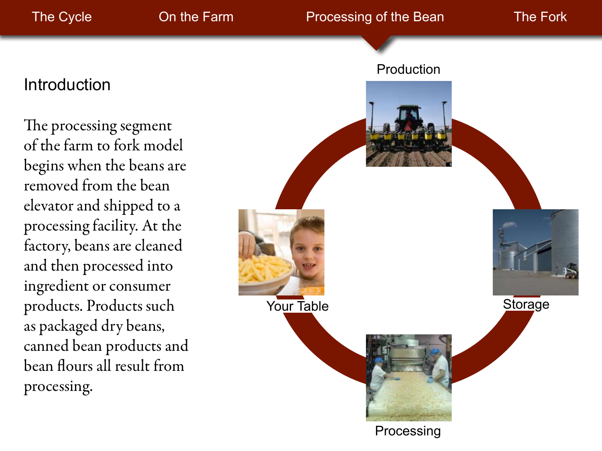# **Introduction**

The processing segment of the farm to fork model begins when the beans are removed from the bean elevator and shipped to a processing facility. At the factory, beans are cleaned and then processed into ingredient or consumer products. Products such as packaged dry beans, canned bean products and bean flours all result from processing.

![](_page_8_Picture_6.jpeg)

Processing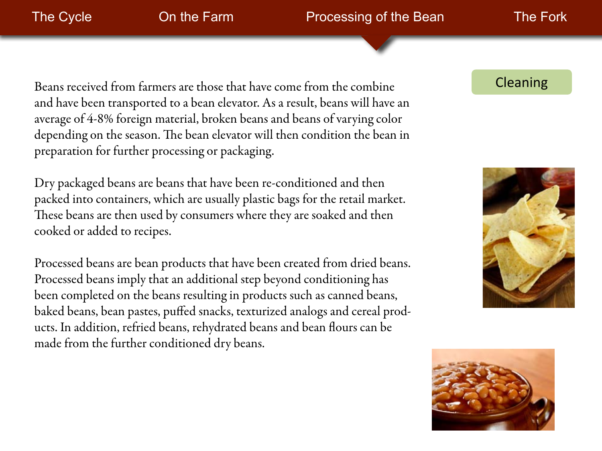#### The Cycle **Charlot Congress** On the Farm **Processing of the Bean** The Fork

Beans received from farmers are those that have come from the combine and have been transported to a bean elevator. As a result, beans will have an average of 4-8% foreign material, broken beans and beans of varying color depending on the season. The bean elevator will then condition the bean in preparation for further processing or packaging.

Dry packaged beans are beans that have been re-conditioned and then packed into containers, which are usually plastic bags for the retail market. These beans are then used by consumers where they are soaked and then cooked or added to recipes.

Processed beans are bean products that have been created from dried beans. Processed beans imply that an additional step beyond conditioning has been completed on the beans resulting in products such as canned beans, baked beans, bean pastes, puffed snacks, texturized analogs and cereal products. In addition, refried beans, rehydrated beans and bean flours can be made from the further conditioned dry beans.

#### Cleaning

![](_page_9_Picture_8.jpeg)

![](_page_9_Picture_9.jpeg)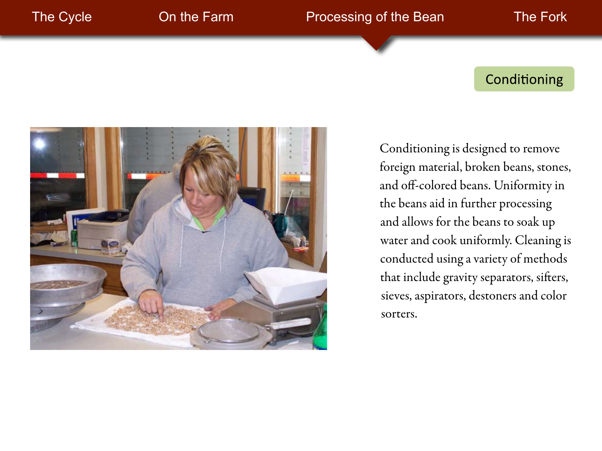### Conditioning

![](_page_10_Picture_5.jpeg)

Conditioning is designed to remove foreign material, broken beans, stones, and off-colored beans. Uniformity in the beans aid in further processing and allows for the beans to soak up water and cook uniformly. Cleaning is conducted using a variety of methods that include gravity separators, sifters, sieves, aspirators, destoners and color sorters.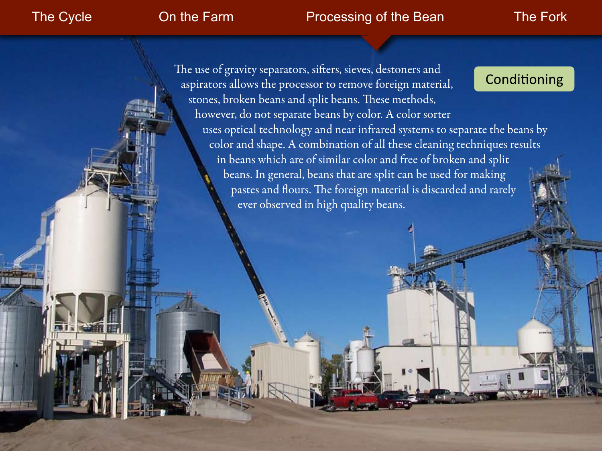#### The Cycle **Charlot Congress Contine Farm** Processing of the Bean The Fork

The use of gravity separators, sifters, sieves, destoners and Conditioning aspirators allows the processor to remove foreign material, stones, broken beans and split beans. These methods, however, do not separate beans by color. A color sorter uses optical technology and near infrared systems to separate the beans by color and shape. A combination of all these cleaning techniques results in beans which are of similar color and free of broken and split beans. In general, beans that are split can be used for making pastes and flours. The foreign material is discarded and rarely ever observed in high quality beans.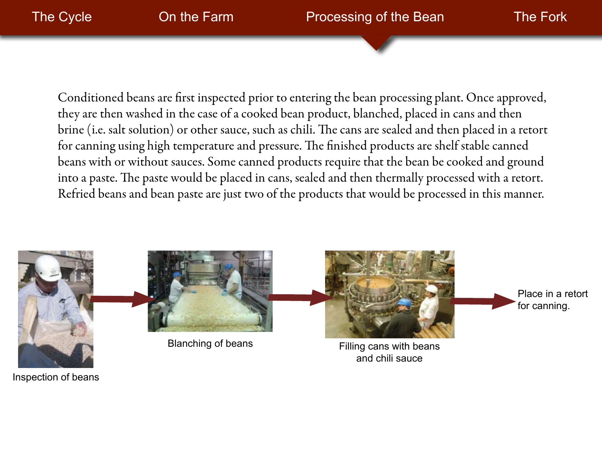![](_page_12_Picture_0.jpeg)

Conditioned beans are first inspected prior to entering the bean processing plant. Once approved, they are then washed in the case of a cooked bean product, blanched, placed in cans and then brine (i.e. salt solution) or other sauce, such as chili. The cans are sealed and then placed in a retort for canning using high temperature and pressure. The finished products are shelf stable canned beans with or without sauces. Some canned products require that the bean be cooked and ground into a paste. The paste would be placed in cans, sealed and then thermally processed with a retort. Refried beans and bean paste are just two of the products that would be processed in this manner.

![](_page_12_Picture_2.jpeg)

Inspection of beans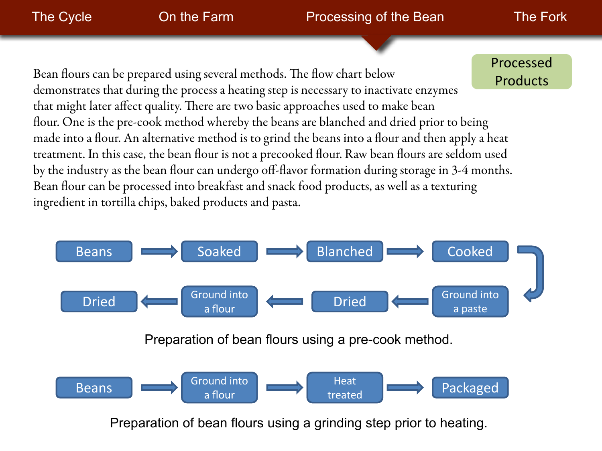### The Cycle **Charle Cycle** On the Farm **Processing of the Bean** The Fork

Bean flours can be prepared using several methods. The flow chart below demonstrates that during the process a heating step is necessary to inactivate enzymes that might later affect quality. There are two basic approaches used to make bean flour. One is the pre-cook method whereby the beans are blanched and dried prior to being made into a flour. An alternative method is to grind the beans into a flour and then apply a heat treatment. In this case, the bean flour is not a precooked flour. Raw bean flours are seldom used by the industry as the bean flour can undergo off-flavor formation during storage in 3-4 months. Bean flour can be processed into breakfast and snack food products, as well as a texturing ingredient in tortilla chips, baked products and pasta. Processed **Products** 

![](_page_13_Figure_5.jpeg)

Preparation of bean flours using a grinding step prior to heating.